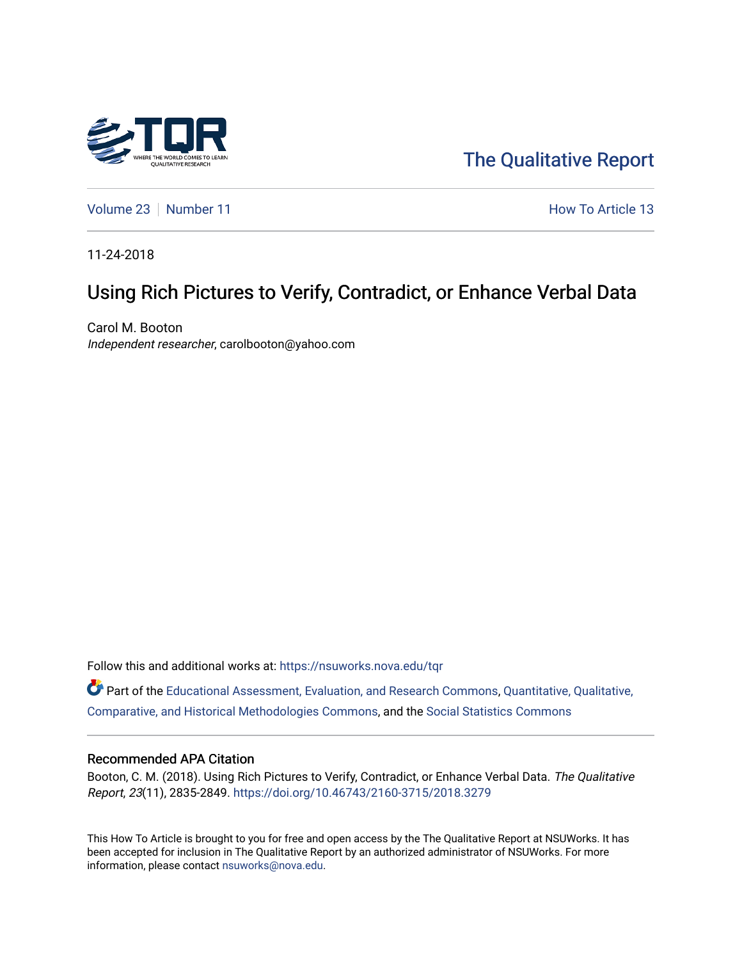

[The Qualitative Report](https://nsuworks.nova.edu/tqr) 

[Volume 23](https://nsuworks.nova.edu/tqr/vol23) [Number 11](https://nsuworks.nova.edu/tqr/vol23/iss11) **How To Article 13** 

11-24-2018

# Using Rich Pictures to Verify, Contradict, or Enhance Verbal Data

Carol M. Booton Independent researcher, carolbooton@yahoo.com

Follow this and additional works at: [https://nsuworks.nova.edu/tqr](https://nsuworks.nova.edu/tqr?utm_source=nsuworks.nova.edu%2Ftqr%2Fvol23%2Fiss11%2F13&utm_medium=PDF&utm_campaign=PDFCoverPages) 

Part of the [Educational Assessment, Evaluation, and Research Commons](http://network.bepress.com/hgg/discipline/796?utm_source=nsuworks.nova.edu%2Ftqr%2Fvol23%2Fiss11%2F13&utm_medium=PDF&utm_campaign=PDFCoverPages), [Quantitative, Qualitative,](http://network.bepress.com/hgg/discipline/423?utm_source=nsuworks.nova.edu%2Ftqr%2Fvol23%2Fiss11%2F13&utm_medium=PDF&utm_campaign=PDFCoverPages)  [Comparative, and Historical Methodologies Commons,](http://network.bepress.com/hgg/discipline/423?utm_source=nsuworks.nova.edu%2Ftqr%2Fvol23%2Fiss11%2F13&utm_medium=PDF&utm_campaign=PDFCoverPages) and the [Social Statistics Commons](http://network.bepress.com/hgg/discipline/1275?utm_source=nsuworks.nova.edu%2Ftqr%2Fvol23%2Fiss11%2F13&utm_medium=PDF&utm_campaign=PDFCoverPages) 

#### Recommended APA Citation

Booton, C. M. (2018). Using Rich Pictures to Verify, Contradict, or Enhance Verbal Data. The Qualitative Report, 23(11), 2835-2849. <https://doi.org/10.46743/2160-3715/2018.3279>

This How To Article is brought to you for free and open access by the The Qualitative Report at NSUWorks. It has been accepted for inclusion in The Qualitative Report by an authorized administrator of NSUWorks. For more information, please contact [nsuworks@nova.edu.](mailto:nsuworks@nova.edu)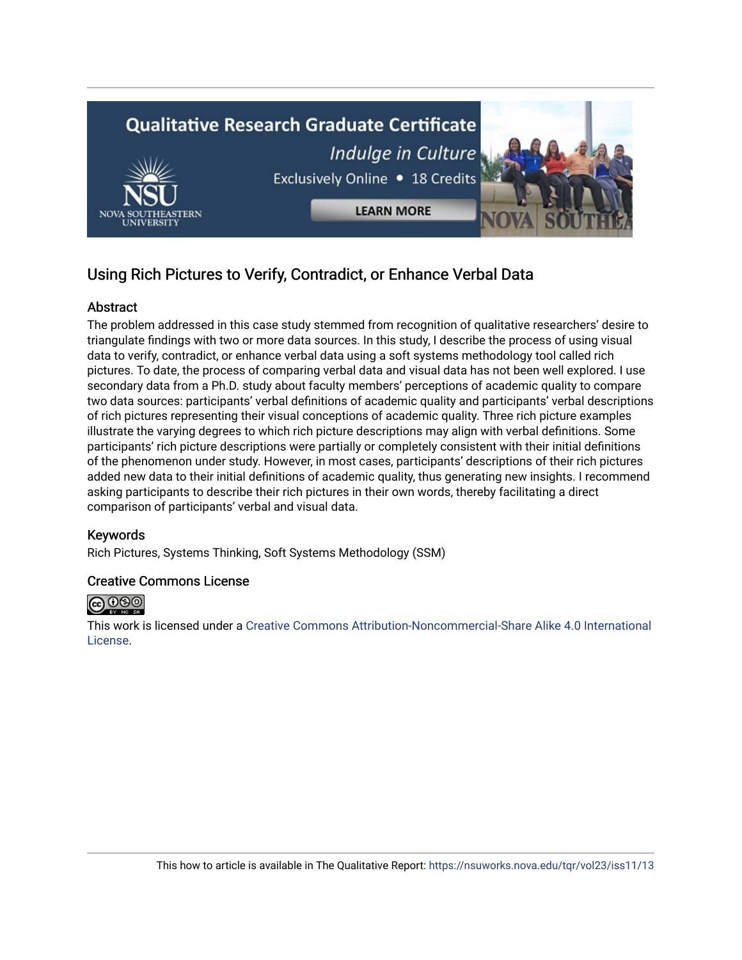

# Using Rich Pictures to Verify, Contradict, or Enhance Verbal Data

## **Abstract**

The problem addressed in this case study stemmed from recognition of qualitative researchers' desire to triangulate findings with two or more data sources. In this study, I describe the process of using visual data to verify, contradict, or enhance verbal data using a soft systems methodology tool called rich pictures. To date, the process of comparing verbal data and visual data has not been well explored. I use secondary data from a Ph.D. study about faculty members' perceptions of academic quality to compare two data sources: participants' verbal definitions of academic quality and participants' verbal descriptions of rich pictures representing their visual conceptions of academic quality. Three rich picture examples illustrate the varying degrees to which rich picture descriptions may align with verbal definitions. Some participants' rich picture descriptions were partially or completely consistent with their initial definitions of the phenomenon under study. However, in most cases, participants' descriptions of their rich pictures added new data to their initial definitions of academic quality, thus generating new insights. I recommend asking participants to describe their rich pictures in their own words, thereby facilitating a direct comparison of participants' verbal and visual data.

## Keywords

Rich Pictures, Systems Thinking, Soft Systems Methodology (SSM)

## Creative Commons License



This work is licensed under a [Creative Commons Attribution-Noncommercial-Share Alike 4.0 International](https://creativecommons.org/licenses/by-nc-sa/4.0/)  [License](https://creativecommons.org/licenses/by-nc-sa/4.0/).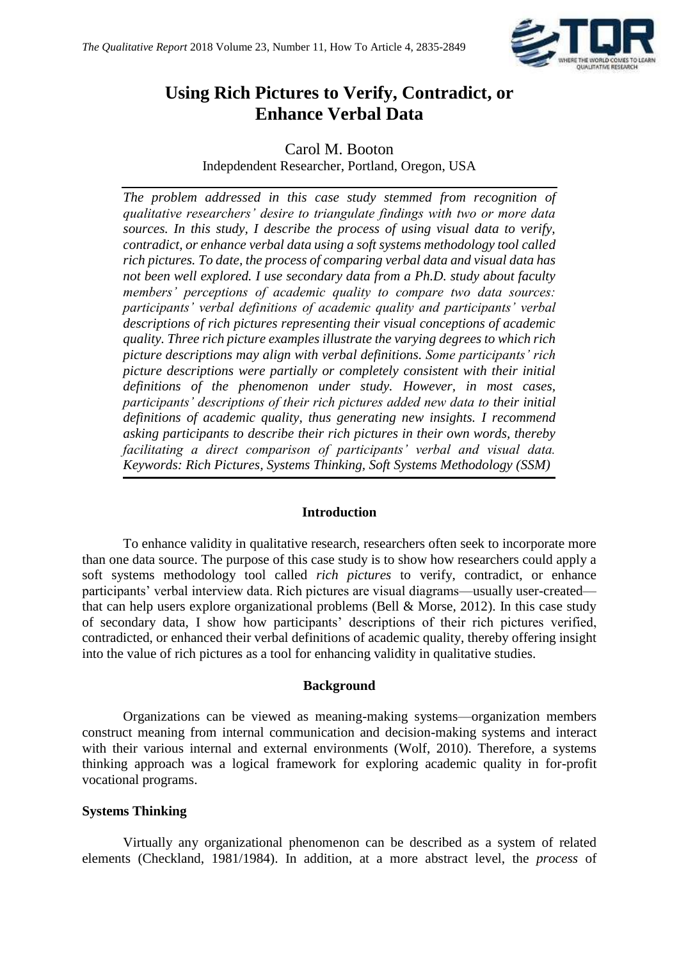

# **Using Rich Pictures to Verify, Contradict, or Enhance Verbal Data**

## Carol M. Booton Indepdendent Researcher, Portland, Oregon, USA

*The problem addressed in this case study stemmed from recognition of qualitative researchers' desire to triangulate findings with two or more data sources. In this study, I describe the process of using visual data to verify, contradict, or enhance verbal data using a soft systems methodology tool called rich pictures. To date, the process of comparing verbal data and visual data has not been well explored. I use secondary data from a Ph.D. study about faculty members' perceptions of academic quality to compare two data sources: participants' verbal definitions of academic quality and participants' verbal descriptions of rich pictures representing their visual conceptions of academic quality. Three rich picture examples illustrate the varying degrees to which rich picture descriptions may align with verbal definitions. Some participants' rich picture descriptions were partially or completely consistent with their initial definitions of the phenomenon under study. However, in most cases, participants' descriptions of their rich pictures added new data to their initial definitions of academic quality, thus generating new insights. I recommend asking participants to describe their rich pictures in their own words, thereby facilitating a direct comparison of participants' verbal and visual data. Keywords: Rich Pictures, Systems Thinking, Soft Systems Methodology (SSM)*

## **Introduction**

To enhance validity in qualitative research, researchers often seek to incorporate more than one data source. The purpose of this case study is to show how researchers could apply a soft systems methodology tool called *rich pictures* to verify, contradict, or enhance participants' verbal interview data. Rich pictures are visual diagrams—usually user-created that can help users explore organizational problems (Bell  $\&$  Morse, 2012). In this case study of secondary data, I show how participants' descriptions of their rich pictures verified, contradicted, or enhanced their verbal definitions of academic quality, thereby offering insight into the value of rich pictures as a tool for enhancing validity in qualitative studies.

## **Background**

Organizations can be viewed as meaning-making systems—organization members construct meaning from internal communication and decision-making systems and interact with their various internal and external environments (Wolf, 2010). Therefore, a systems thinking approach was a logical framework for exploring academic quality in for-profit vocational programs.

## **Systems Thinking**

Virtually any organizational phenomenon can be described as a system of related elements (Checkland, 1981/1984). In addition, at a more abstract level, the *process* of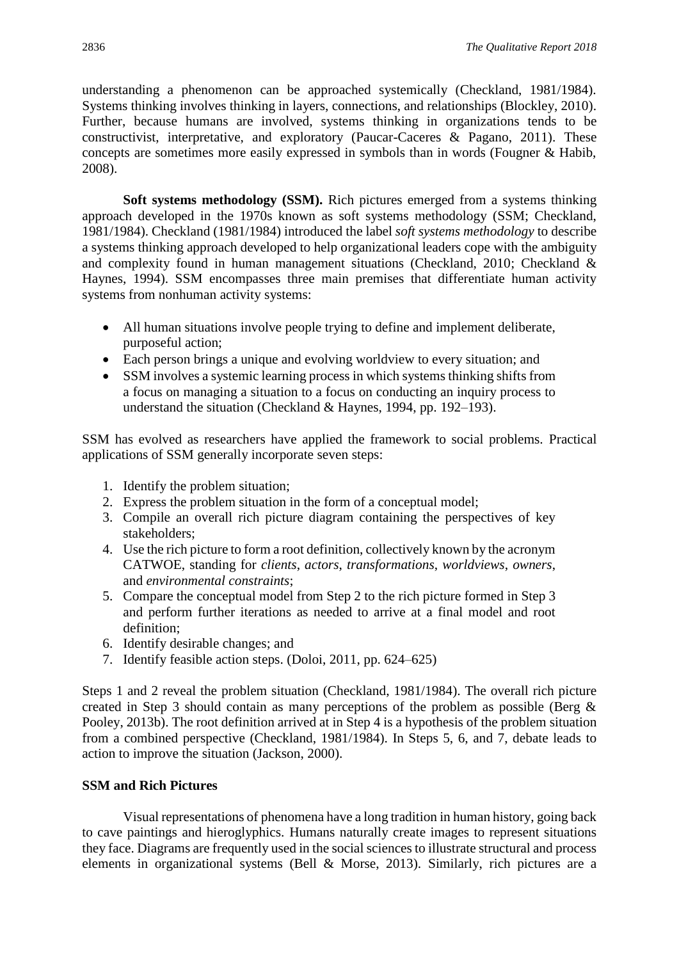understanding a phenomenon can be approached systemically (Checkland, 1981/1984). Systems thinking involves thinking in layers, connections, and relationships (Blockley, 2010). Further, because humans are involved, systems thinking in organizations tends to be constructivist, interpretative, and exploratory (Paucar-Caceres & Pagano, 2011). These concepts are sometimes more easily expressed in symbols than in words (Fougner & Habib, 2008).

**Soft systems methodology (SSM).** Rich pictures emerged from a systems thinking approach developed in the 1970s known as soft systems methodology (SSM; Checkland, 1981/1984). Checkland (1981/1984) introduced the label *soft systems methodology* to describe a systems thinking approach developed to help organizational leaders cope with the ambiguity and complexity found in human management situations (Checkland, 2010; Checkland & Haynes, 1994). SSM encompasses three main premises that differentiate human activity systems from nonhuman activity systems:

- All human situations involve people trying to define and implement deliberate, purposeful action;
- Each person brings a unique and evolving worldview to every situation; and
- SSM involves a systemic learning process in which systems thinking shifts from a focus on managing a situation to a focus on conducting an inquiry process to understand the situation (Checkland & Haynes, 1994, pp. 192–193).

SSM has evolved as researchers have applied the framework to social problems. Practical applications of SSM generally incorporate seven steps:

- 1. Identify the problem situation;
- 2. Express the problem situation in the form of a conceptual model;
- 3. Compile an overall rich picture diagram containing the perspectives of key stakeholders;
- 4. Use the rich picture to form a root definition, collectively known by the acronym CATWOE, standing for *clients*, *actors*, *transformations*, *worldviews*, *owners*, and *environmental constraints*;
- 5. Compare the conceptual model from Step 2 to the rich picture formed in Step 3 and perform further iterations as needed to arrive at a final model and root definition;
- 6. Identify desirable changes; and
- 7. Identify feasible action steps. (Doloi, 2011, pp. 624–625)

Steps 1 and 2 reveal the problem situation (Checkland, 1981/1984). The overall rich picture created in Step 3 should contain as many perceptions of the problem as possible (Berg & Pooley, 2013b). The root definition arrived at in Step 4 is a hypothesis of the problem situation from a combined perspective (Checkland, 1981/1984). In Steps 5, 6, and 7, debate leads to action to improve the situation (Jackson, 2000).

## **SSM and Rich Pictures**

Visual representations of phenomena have a long tradition in human history, going back to cave paintings and hieroglyphics. Humans naturally create images to represent situations they face. Diagrams are frequently used in the social sciences to illustrate structural and process elements in organizational systems (Bell & Morse, 2013). Similarly, rich pictures are a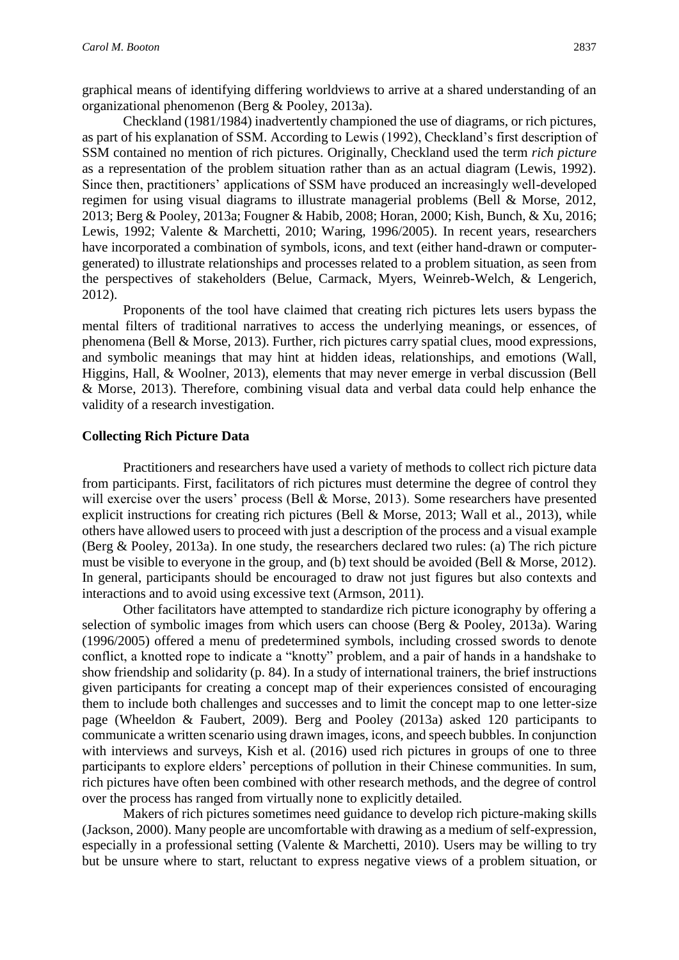graphical means of identifying differing worldviews to arrive at a shared understanding of an organizational phenomenon (Berg & Pooley, 2013a).

Checkland (1981/1984) inadvertently championed the use of diagrams, or rich pictures, as part of his explanation of SSM. According to Lewis (1992), Checkland's first description of SSM contained no mention of rich pictures. Originally, Checkland used the term *rich picture* as a representation of the problem situation rather than as an actual diagram (Lewis, 1992). Since then, practitioners' applications of SSM have produced an increasingly well-developed regimen for using visual diagrams to illustrate managerial problems (Bell & Morse, 2012, 2013; Berg & Pooley, 2013a; Fougner & Habib, 2008; Horan, 2000; Kish, Bunch, & Xu, 2016; Lewis, 1992; Valente & Marchetti, 2010; Waring, 1996/2005). In recent years, researchers have incorporated a combination of symbols, icons, and text (either hand-drawn or computergenerated) to illustrate relationships and processes related to a problem situation, as seen from the perspectives of stakeholders (Belue, Carmack, Myers, Weinreb-Welch, & Lengerich, 2012).

Proponents of the tool have claimed that creating rich pictures lets users bypass the mental filters of traditional narratives to access the underlying meanings, or essences, of phenomena (Bell & Morse, 2013). Further, rich pictures carry spatial clues, mood expressions, and symbolic meanings that may hint at hidden ideas, relationships, and emotions (Wall, Higgins, Hall, & Woolner, 2013), elements that may never emerge in verbal discussion (Bell & Morse, 2013). Therefore, combining visual data and verbal data could help enhance the validity of a research investigation.

#### **Collecting Rich Picture Data**

Practitioners and researchers have used a variety of methods to collect rich picture data from participants. First, facilitators of rich pictures must determine the degree of control they will exercise over the users' process (Bell & Morse, 2013). Some researchers have presented explicit instructions for creating rich pictures (Bell & Morse, 2013; Wall et al., 2013), while others have allowed users to proceed with just a description of the process and a visual example (Berg & Pooley, 2013a). In one study, the researchers declared two rules: (a) The rich picture must be visible to everyone in the group, and (b) text should be avoided (Bell & Morse, 2012). In general, participants should be encouraged to draw not just figures but also contexts and interactions and to avoid using excessive text (Armson, 2011).

Other facilitators have attempted to standardize rich picture iconography by offering a selection of symbolic images from which users can choose (Berg & Pooley, 2013a). Waring (1996/2005) offered a menu of predetermined symbols, including crossed swords to denote conflict, a knotted rope to indicate a "knotty" problem, and a pair of hands in a handshake to show friendship and solidarity (p. 84). In a study of international trainers, the brief instructions given participants for creating a concept map of their experiences consisted of encouraging them to include both challenges and successes and to limit the concept map to one letter-size page (Wheeldon & Faubert, 2009). Berg and Pooley (2013a) asked 120 participants to communicate a written scenario using drawn images, icons, and speech bubbles. In conjunction with interviews and surveys, Kish et al. (2016) used rich pictures in groups of one to three participants to explore elders' perceptions of pollution in their Chinese communities. In sum, rich pictures have often been combined with other research methods, and the degree of control over the process has ranged from virtually none to explicitly detailed.

Makers of rich pictures sometimes need guidance to develop rich picture-making skills (Jackson, 2000). Many people are uncomfortable with drawing as a medium of self-expression, especially in a professional setting (Valente & Marchetti, 2010). Users may be willing to try but be unsure where to start, reluctant to express negative views of a problem situation, or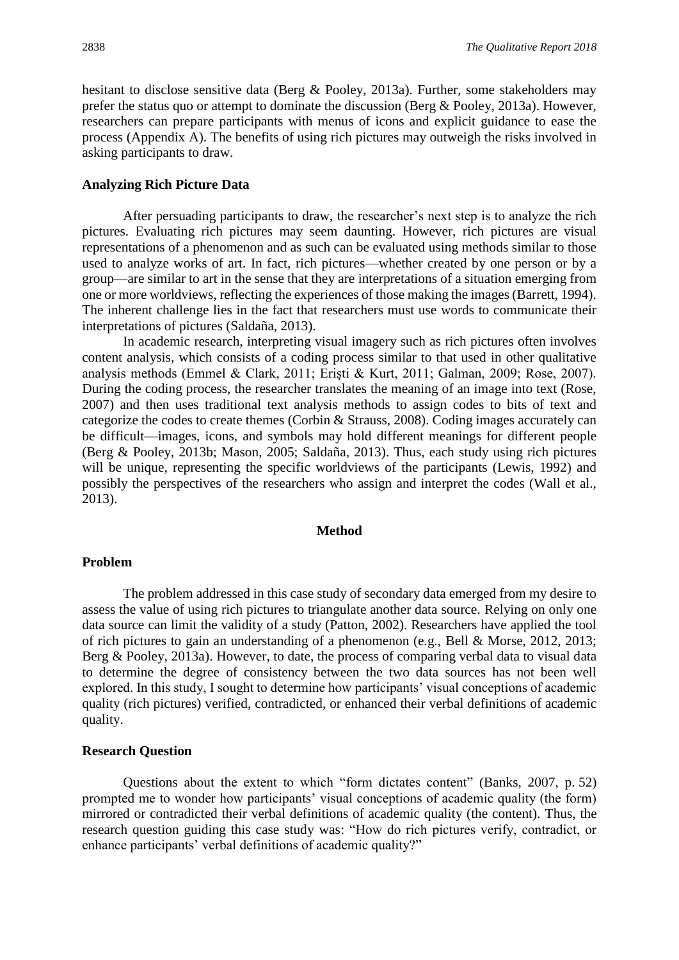hesitant to disclose sensitive data (Berg & Pooley, 2013a). Further, some stakeholders may prefer the status quo or attempt to dominate the discussion (Berg & Pooley, 2013a). However, researchers can prepare participants with menus of icons and explicit guidance to ease the process (Appendix A). The benefits of using rich pictures may outweigh the risks involved in asking participants to draw.

#### **Analyzing Rich Picture Data**

After persuading participants to draw, the researcher's next step is to analyze the rich pictures. Evaluating rich pictures may seem daunting. However, rich pictures are visual representations of a phenomenon and as such can be evaluated using methods similar to those used to analyze works of art. In fact, rich pictures—whether created by one person or by a group—are similar to art in the sense that they are interpretations of a situation emerging from one or more worldviews, reflecting the experiences of those making the images (Barrett, 1994). The inherent challenge lies in the fact that researchers must use words to communicate their interpretations of pictures (Saldaña, 2013).

In academic research, interpreting visual imagery such as rich pictures often involves content analysis, which consists of a coding process similar to that used in other qualitative analysis methods (Emmel & Clark, 2011; Erişti & Kurt, 2011; Galman, 2009; Rose, 2007). During the coding process, the researcher translates the meaning of an image into text (Rose, 2007) and then uses traditional text analysis methods to assign codes to bits of text and categorize the codes to create themes (Corbin & Strauss, 2008). Coding images accurately can be difficult—images, icons, and symbols may hold different meanings for different people (Berg & Pooley, 2013b; Mason, 2005; Saldaña, 2013). Thus, each study using rich pictures will be unique, representing the specific worldviews of the participants (Lewis, 1992) and possibly the perspectives of the researchers who assign and interpret the codes (Wall et al., 2013).

#### **Method**

#### **Problem**

The problem addressed in this case study of secondary data emerged from my desire to assess the value of using rich pictures to triangulate another data source. Relying on only one data source can limit the validity of a study (Patton, 2002). Researchers have applied the tool of rich pictures to gain an understanding of a phenomenon (e.g., Bell & Morse, 2012, 2013; Berg & Pooley, 2013a). However, to date, the process of comparing verbal data to visual data to determine the degree of consistency between the two data sources has not been well explored. In this study, I sought to determine how participants' visual conceptions of academic quality (rich pictures) verified, contradicted, or enhanced their verbal definitions of academic quality.

#### **Research Question**

Questions about the extent to which "form dictates content" (Banks, 2007, p. 52) prompted me to wonder how participants' visual conceptions of academic quality (the form) mirrored or contradicted their verbal definitions of academic quality (the content). Thus, the research question guiding this case study was: "How do rich pictures verify, contradict, or enhance participants' verbal definitions of academic quality?"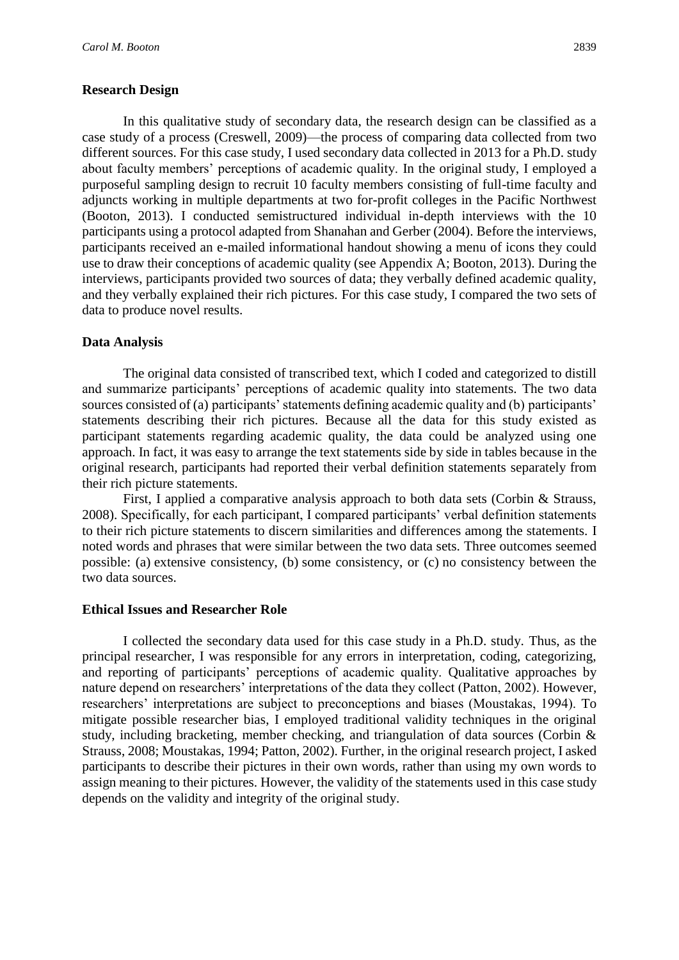### **Research Design**

In this qualitative study of secondary data, the research design can be classified as a case study of a process (Creswell, 2009)—the process of comparing data collected from two different sources. For this case study, I used secondary data collected in 2013 for a Ph.D. study about faculty members' perceptions of academic quality. In the original study, I employed a purposeful sampling design to recruit 10 faculty members consisting of full-time faculty and adjuncts working in multiple departments at two for-profit colleges in the Pacific Northwest (Booton, 2013). I conducted semistructured individual in-depth interviews with the 10 participants using a protocol adapted from Shanahan and Gerber (2004). Before the interviews, participants received an e-mailed informational handout showing a menu of icons they could use to draw their conceptions of academic quality (see Appendix A; Booton, 2013). During the interviews, participants provided two sources of data; they verbally defined academic quality, and they verbally explained their rich pictures. For this case study, I compared the two sets of data to produce novel results.

### **Data Analysis**

The original data consisted of transcribed text, which I coded and categorized to distill and summarize participants' perceptions of academic quality into statements. The two data sources consisted of (a) participants' statements defining academic quality and (b) participants' statements describing their rich pictures. Because all the data for this study existed as participant statements regarding academic quality, the data could be analyzed using one approach. In fact, it was easy to arrange the text statements side by side in tables because in the original research, participants had reported their verbal definition statements separately from their rich picture statements.

First, I applied a comparative analysis approach to both data sets (Corbin & Strauss, 2008). Specifically, for each participant, I compared participants' verbal definition statements to their rich picture statements to discern similarities and differences among the statements. I noted words and phrases that were similar between the two data sets. Three outcomes seemed possible: (a) extensive consistency, (b) some consistency, or (c) no consistency between the two data sources.

#### **Ethical Issues and Researcher Role**

I collected the secondary data used for this case study in a Ph.D. study. Thus, as the principal researcher, I was responsible for any errors in interpretation, coding, categorizing, and reporting of participants' perceptions of academic quality. Qualitative approaches by nature depend on researchers' interpretations of the data they collect (Patton, 2002). However, researchers' interpretations are subject to preconceptions and biases (Moustakas, 1994). To mitigate possible researcher bias, I employed traditional validity techniques in the original study, including bracketing, member checking, and triangulation of data sources (Corbin & Strauss, 2008; Moustakas, 1994; Patton, 2002). Further, in the original research project, I asked participants to describe their pictures in their own words, rather than using my own words to assign meaning to their pictures. However, the validity of the statements used in this case study depends on the validity and integrity of the original study.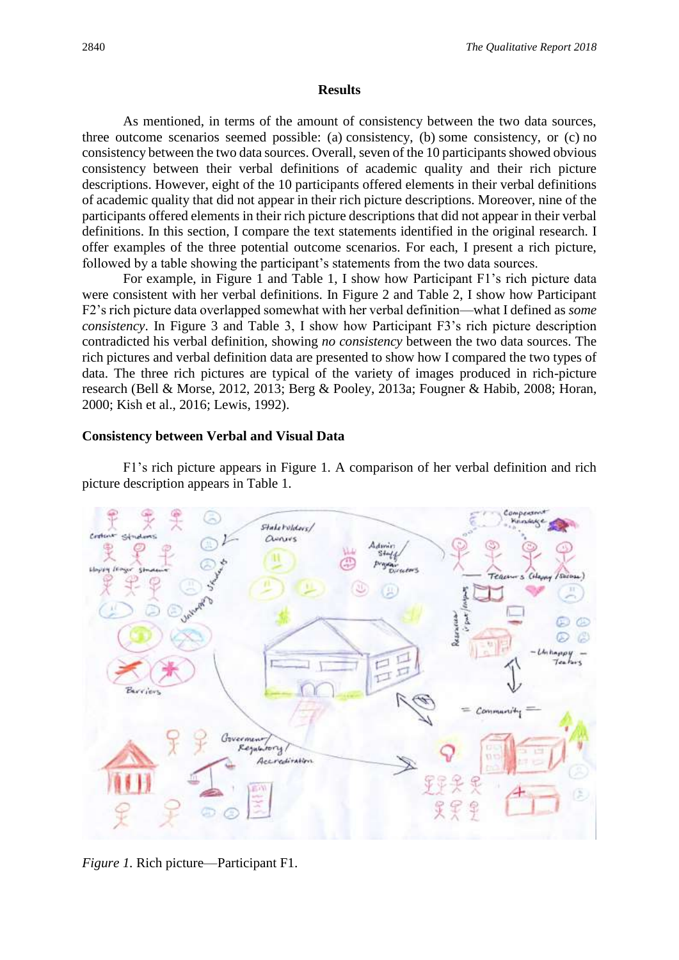#### **Results**

As mentioned, in terms of the amount of consistency between the two data sources, three outcome scenarios seemed possible: (a) consistency, (b) some consistency, or (c) no consistency between the two data sources. Overall, seven of the 10 participants showed obvious consistency between their verbal definitions of academic quality and their rich picture descriptions. However, eight of the 10 participants offered elements in their verbal definitions of academic quality that did not appear in their rich picture descriptions. Moreover, nine of the participants offered elements in their rich picture descriptions that did not appear in their verbal definitions. In this section, I compare the text statements identified in the original research. I offer examples of the three potential outcome scenarios. For each, I present a rich picture, followed by a table showing the participant's statements from the two data sources.

For example, in Figure 1 and Table 1, I show how Participant F1's rich picture data were consistent with her verbal definitions. In Figure 2 and Table 2, I show how Participant F2's rich picture data overlapped somewhat with her verbal definition—what I defined as *some consistency*. In Figure 3 and Table 3, I show how Participant F3's rich picture description contradicted his verbal definition, showing *no consistency* between the two data sources. The rich pictures and verbal definition data are presented to show how I compared the two types of data. The three rich pictures are typical of the variety of images produced in rich-picture research (Bell & Morse, 2012, 2013; Berg & Pooley, 2013a; Fougner & Habib, 2008; Horan, 2000; Kish et al., 2016; Lewis, 1992).

### **Consistency between Verbal and Visual Data**

F1's rich picture appears in Figure 1. A comparison of her verbal definition and rich picture description appears in Table 1.



*Figure 1.* Rich picture—Participant F1.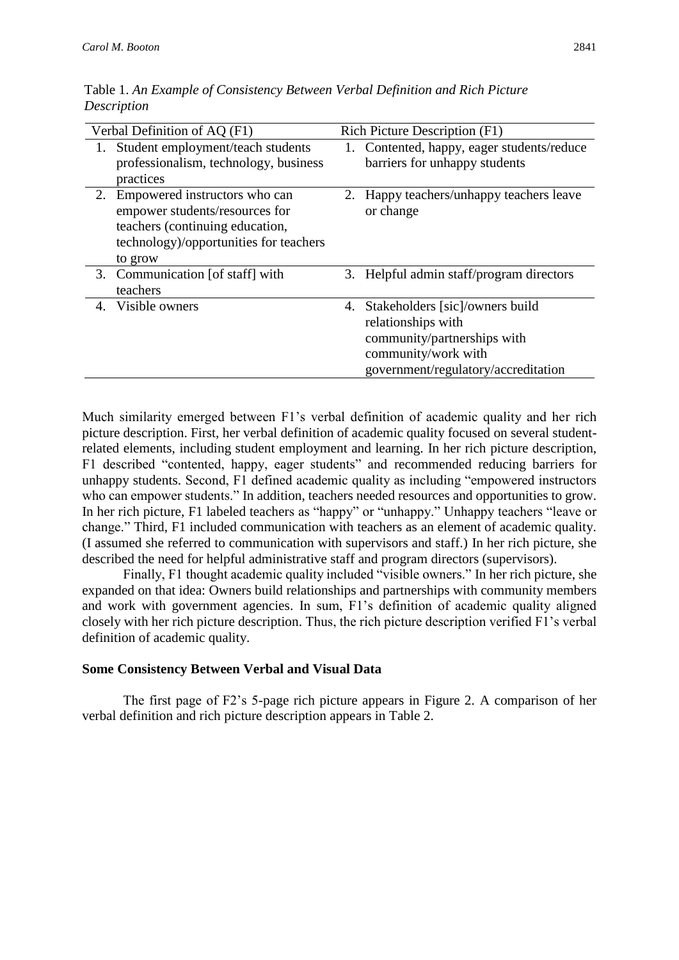| Verbal Definition of AQ (F1) |                                                                                                                                                         | Rich Picture Description (F1) |                                                                                                                                                    |  |
|------------------------------|---------------------------------------------------------------------------------------------------------------------------------------------------------|-------------------------------|----------------------------------------------------------------------------------------------------------------------------------------------------|--|
| 1.                           | Student employment/teach students<br>professionalism, technology, business<br>practices                                                                 | 1.                            | Contented, happy, eager students/reduce<br>barriers for unhappy students                                                                           |  |
| 2.                           | Empowered instructors who can<br>empower students/resources for<br>teachers (continuing education,<br>technology)/opportunities for teachers<br>to grow |                               | 2. Happy teachers/unhappy teachers leave<br>or change                                                                                              |  |
|                              | 3. Communication [of staff] with<br>teachers                                                                                                            |                               | 3. Helpful admin staff/program directors                                                                                                           |  |
| 4.                           | Visible owners                                                                                                                                          | 4.                            | Stakeholders [sic]/owners build<br>relationships with<br>community/partnerships with<br>community/work with<br>government/regulatory/accreditation |  |

Table 1. *An Example of Consistency Between Verbal Definition and Rich Picture Description*

Much similarity emerged between F1's verbal definition of academic quality and her rich picture description. First, her verbal definition of academic quality focused on several studentrelated elements, including student employment and learning. In her rich picture description, F1 described "contented, happy, eager students" and recommended reducing barriers for unhappy students. Second, F1 defined academic quality as including "empowered instructors who can empower students." In addition, teachers needed resources and opportunities to grow. In her rich picture, F1 labeled teachers as "happy" or "unhappy." Unhappy teachers "leave or change." Third, F1 included communication with teachers as an element of academic quality. (I assumed she referred to communication with supervisors and staff.) In her rich picture, she described the need for helpful administrative staff and program directors (supervisors).

Finally, F1 thought academic quality included "visible owners." In her rich picture, she expanded on that idea: Owners build relationships and partnerships with community members and work with government agencies. In sum, F1's definition of academic quality aligned closely with her rich picture description. Thus, the rich picture description verified F1's verbal definition of academic quality.

#### **Some Consistency Between Verbal and Visual Data**

The first page of F2's 5-page rich picture appears in Figure 2. A comparison of her verbal definition and rich picture description appears in Table 2.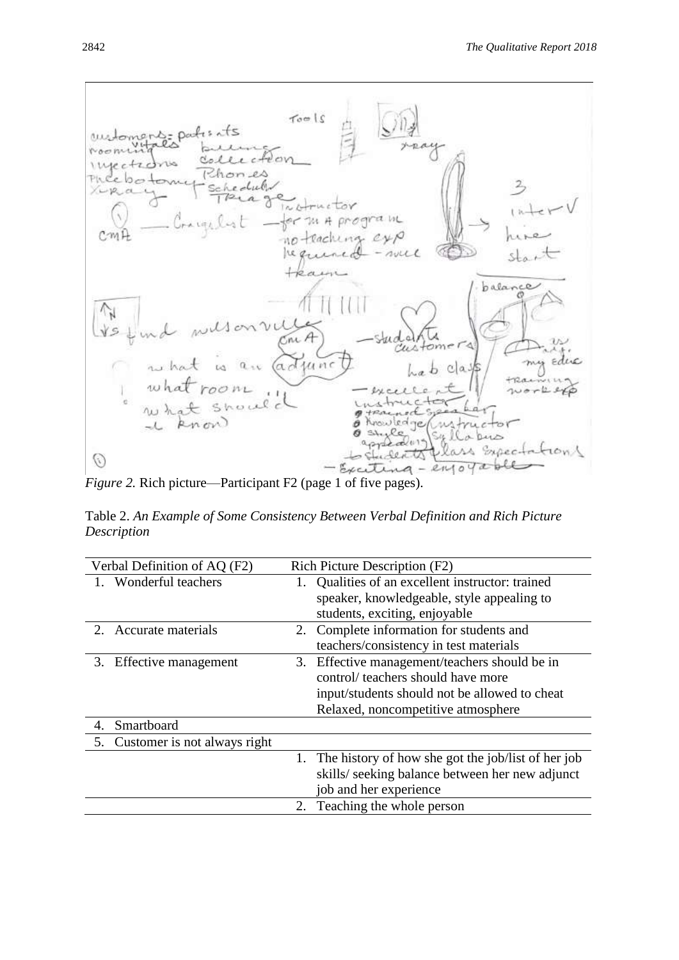

*Figure 2.* Rich picture—Participant F2 (page 1 of five pages).

Table 2. *An Example of Some Consistency Between Verbal Definition and Rich Picture Description*

| Verbal Definition of AQ (F2)       | Rich Picture Description (F2)                         |  |
|------------------------------------|-------------------------------------------------------|--|
| Wonderful teachers                 | Qualities of an excellent instructor: trained         |  |
|                                    | speaker, knowledgeable, style appealing to            |  |
|                                    | students, exciting, enjoyable                         |  |
| Accurate materials<br>$2_{\cdot}$  | 2. Complete information for students and              |  |
|                                    | teachers/consistency in test materials                |  |
| Effective management<br>3.         | Effective management/teachers should be in<br>3.      |  |
|                                    | control/ teachers should have more                    |  |
|                                    | input/students should not be allowed to cheat         |  |
|                                    | Relaxed, noncompetitive atmosphere                    |  |
| Smartboard<br>4.                   |                                                       |  |
| Customer is not always right<br>5. |                                                       |  |
|                                    | 1. The history of how she got the job/list of her job |  |
|                                    | skills/ seeking balance between her new adjunct       |  |
|                                    | job and her experience                                |  |
|                                    | 2. Teaching the whole person                          |  |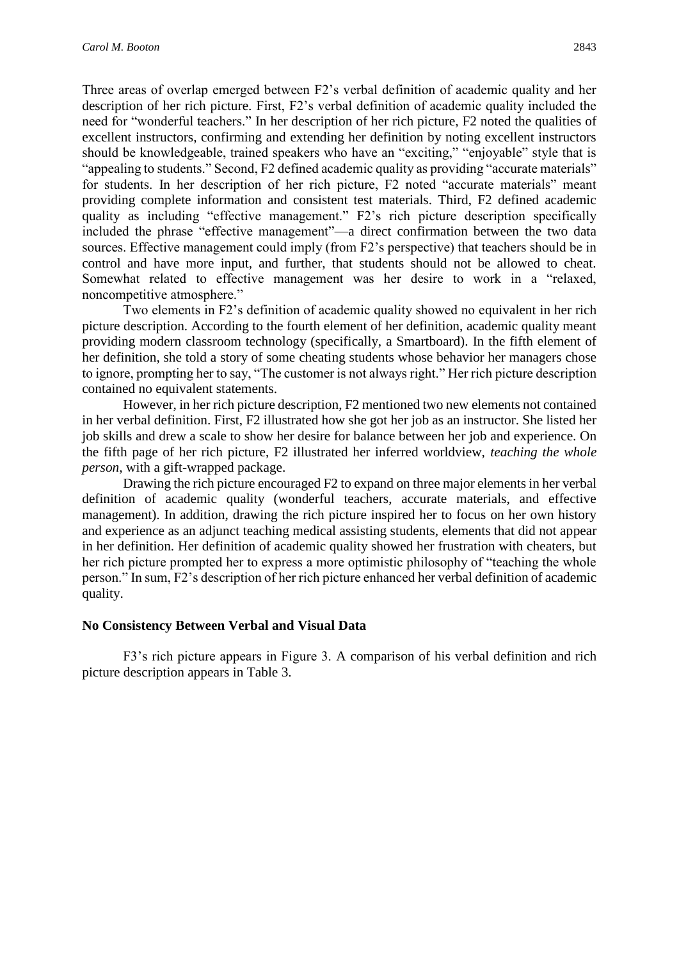Three areas of overlap emerged between F2's verbal definition of academic quality and her description of her rich picture. First, F2's verbal definition of academic quality included the need for "wonderful teachers." In her description of her rich picture, F2 noted the qualities of excellent instructors, confirming and extending her definition by noting excellent instructors should be knowledgeable, trained speakers who have an "exciting," "enjoyable" style that is "appealing to students." Second, F2 defined academic quality as providing "accurate materials" for students. In her description of her rich picture, F2 noted "accurate materials" meant providing complete information and consistent test materials. Third, F2 defined academic quality as including "effective management." F2's rich picture description specifically included the phrase "effective management"—a direct confirmation between the two data sources. Effective management could imply (from F2's perspective) that teachers should be in control and have more input, and further, that students should not be allowed to cheat. Somewhat related to effective management was her desire to work in a "relaxed, noncompetitive atmosphere."

Two elements in F2's definition of academic quality showed no equivalent in her rich picture description. According to the fourth element of her definition, academic quality meant providing modern classroom technology (specifically, a Smartboard). In the fifth element of her definition, she told a story of some cheating students whose behavior her managers chose to ignore, prompting her to say, "The customer is not always right." Her rich picture description contained no equivalent statements.

However, in her rich picture description, F2 mentioned two new elements not contained in her verbal definition. First, F2 illustrated how she got her job as an instructor. She listed her job skills and drew a scale to show her desire for balance between her job and experience. On the fifth page of her rich picture, F2 illustrated her inferred worldview, *teaching the whole person*, with a gift-wrapped package.

Drawing the rich picture encouraged F2 to expand on three major elements in her verbal definition of academic quality (wonderful teachers, accurate materials, and effective management). In addition, drawing the rich picture inspired her to focus on her own history and experience as an adjunct teaching medical assisting students, elements that did not appear in her definition. Her definition of academic quality showed her frustration with cheaters, but her rich picture prompted her to express a more optimistic philosophy of "teaching the whole person." In sum, F2's description of her rich picture enhanced her verbal definition of academic quality.

#### **No Consistency Between Verbal and Visual Data**

F3's rich picture appears in Figure 3. A comparison of his verbal definition and rich picture description appears in Table 3.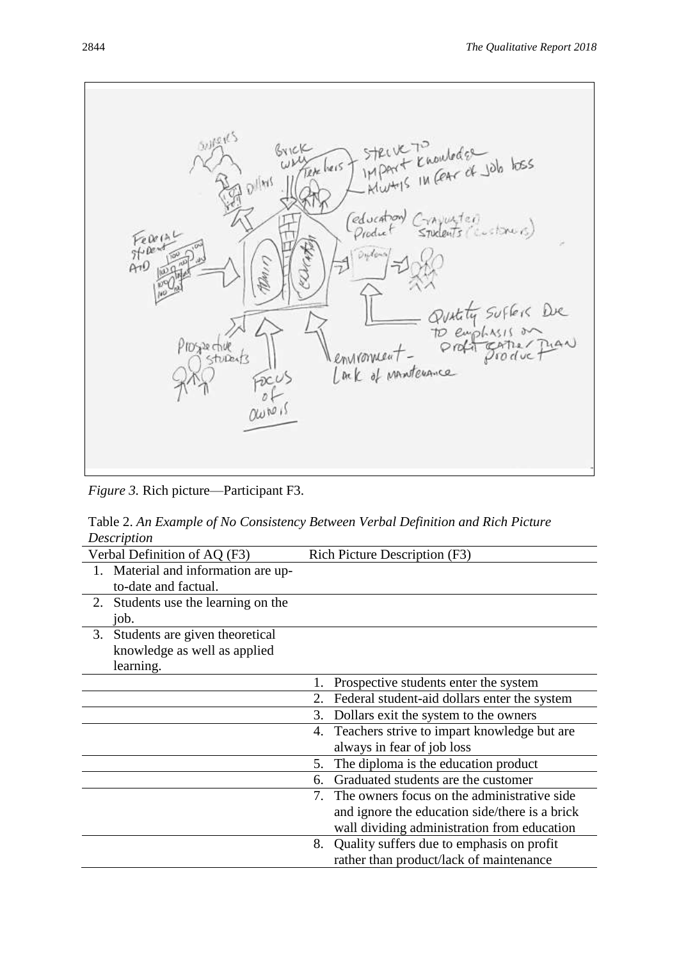superes BYICK outeder  $2206$   $b$ Tete heis  $\mathcal{D}^{j[m]}$ *(education* wyter February<br>Stipentino stoners Orodia  $ArO$ ż De **DS20 chue** environnen<br>Lank of M Sturents  $\epsilon$ i it MANTERANCE OWN

*Figure 3.* Rich picture—Participant F3.

Table 2. *An Example of No Consistency Between Verbal Definition and Rich Picture Description*

| Rich Picture Description (F3)                      |  |
|----------------------------------------------------|--|
|                                                    |  |
|                                                    |  |
|                                                    |  |
|                                                    |  |
|                                                    |  |
|                                                    |  |
|                                                    |  |
| Prospective students enter the system<br>1.        |  |
| Federal student-aid dollars enter the system<br>2. |  |
| Dollars exit the system to the owners<br>3.        |  |
| Teachers strive to impart knowledge but are<br>4.  |  |
| always in fear of job loss                         |  |
| The diploma is the education product<br>5.         |  |
| Graduated students are the customer<br>6.          |  |
| 7. The owners focus on the administrative side.    |  |
| and ignore the education side/there is a brick     |  |
| wall dividing administration from education        |  |
| Quality suffers due to emphasis on profit<br>8.    |  |
| rather than product/lack of maintenance            |  |
|                                                    |  |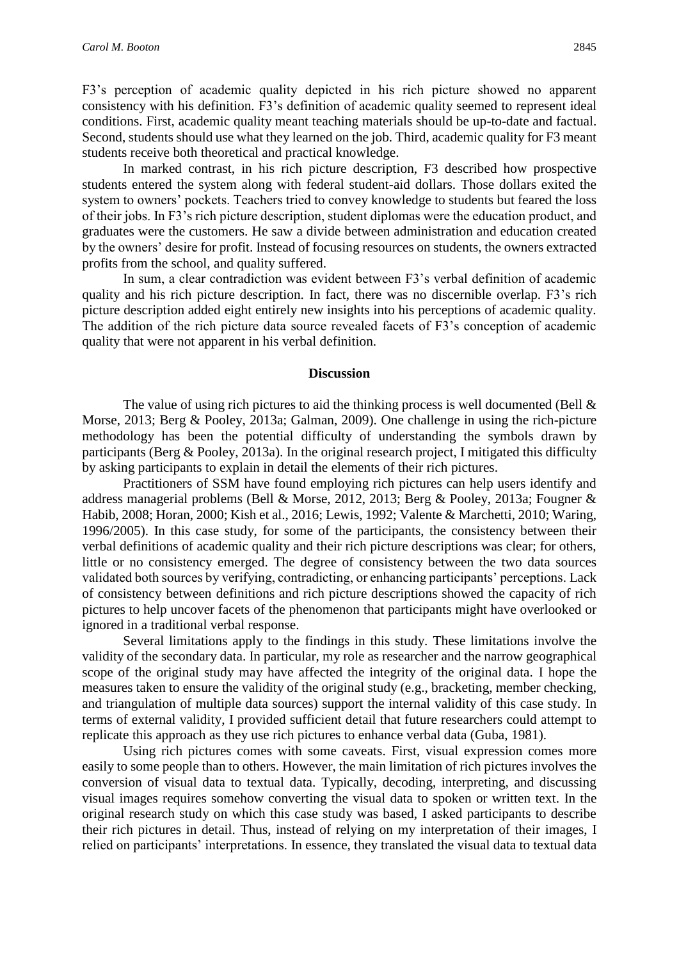F3's perception of academic quality depicted in his rich picture showed no apparent consistency with his definition. F3's definition of academic quality seemed to represent ideal conditions. First, academic quality meant teaching materials should be up-to-date and factual. Second, students should use what they learned on the job. Third, academic quality for F3 meant students receive both theoretical and practical knowledge.

In marked contrast, in his rich picture description, F3 described how prospective students entered the system along with federal student-aid dollars. Those dollars exited the system to owners' pockets. Teachers tried to convey knowledge to students but feared the loss of their jobs. In F3's rich picture description, student diplomas were the education product, and graduates were the customers. He saw a divide between administration and education created by the owners' desire for profit. Instead of focusing resources on students, the owners extracted profits from the school, and quality suffered.

In sum, a clear contradiction was evident between F3's verbal definition of academic quality and his rich picture description. In fact, there was no discernible overlap. F3's rich picture description added eight entirely new insights into his perceptions of academic quality. The addition of the rich picture data source revealed facets of F3's conception of academic quality that were not apparent in his verbal definition.

#### **Discussion**

The value of using rich pictures to aid the thinking process is well documented (Bell  $\&$ Morse, 2013; Berg & Pooley, 2013a; Galman, 2009). One challenge in using the rich-picture methodology has been the potential difficulty of understanding the symbols drawn by participants (Berg & Pooley, 2013a). In the original research project, I mitigated this difficulty by asking participants to explain in detail the elements of their rich pictures.

Practitioners of SSM have found employing rich pictures can help users identify and address managerial problems (Bell & Morse, 2012, 2013; Berg & Pooley, 2013a; Fougner & Habib, 2008; Horan, 2000; Kish et al., 2016; Lewis, 1992; Valente & Marchetti, 2010; Waring, 1996/2005). In this case study, for some of the participants, the consistency between their verbal definitions of academic quality and their rich picture descriptions was clear; for others, little or no consistency emerged. The degree of consistency between the two data sources validated both sources by verifying, contradicting, or enhancing participants' perceptions. Lack of consistency between definitions and rich picture descriptions showed the capacity of rich pictures to help uncover facets of the phenomenon that participants might have overlooked or ignored in a traditional verbal response.

Several limitations apply to the findings in this study. These limitations involve the validity of the secondary data. In particular, my role as researcher and the narrow geographical scope of the original study may have affected the integrity of the original data. I hope the measures taken to ensure the validity of the original study (e.g., bracketing, member checking, and triangulation of multiple data sources) support the internal validity of this case study. In terms of external validity, I provided sufficient detail that future researchers could attempt to replicate this approach as they use rich pictures to enhance verbal data (Guba, 1981).

Using rich pictures comes with some caveats. First, visual expression comes more easily to some people than to others. However, the main limitation of rich pictures involves the conversion of visual data to textual data. Typically, decoding, interpreting, and discussing visual images requires somehow converting the visual data to spoken or written text. In the original research study on which this case study was based, I asked participants to describe their rich pictures in detail. Thus, instead of relying on my interpretation of their images, I relied on participants' interpretations. In essence, they translated the visual data to textual data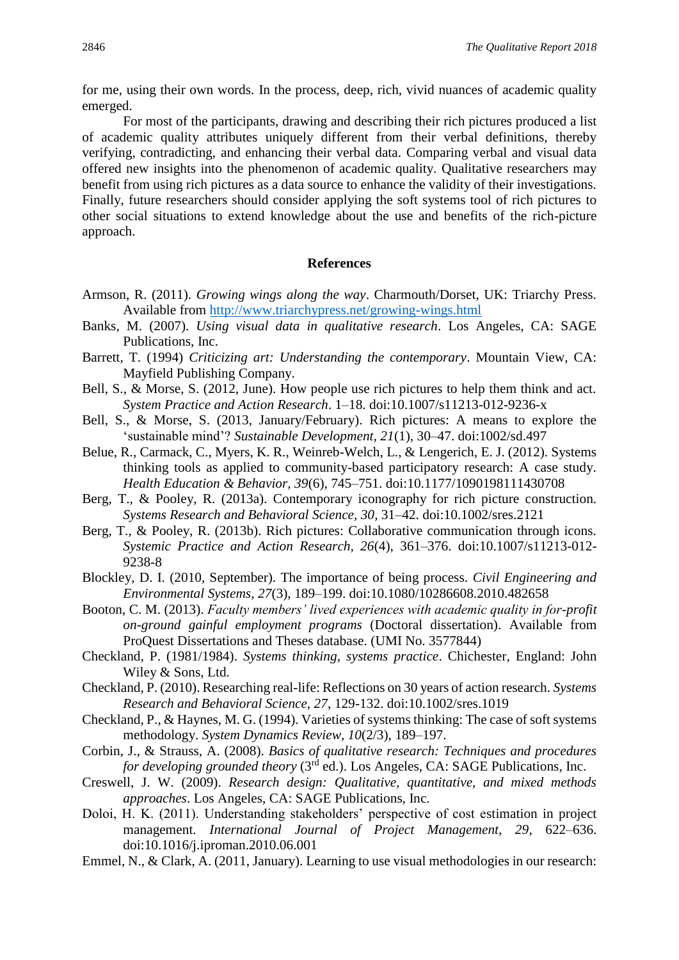for me, using their own words. In the process, deep, rich, vivid nuances of academic quality emerged.

For most of the participants, drawing and describing their rich pictures produced a list of academic quality attributes uniquely different from their verbal definitions, thereby verifying, contradicting, and enhancing their verbal data. Comparing verbal and visual data offered new insights into the phenomenon of academic quality. Qualitative researchers may benefit from using rich pictures as a data source to enhance the validity of their investigations. Finally, future researchers should consider applying the soft systems tool of rich pictures to other social situations to extend knowledge about the use and benefits of the rich-picture approach.

#### **References**

- Armson, R. (2011). *Growing wings along the way*. Charmouth/Dorset, UK: Triarchy Press. Available from<http://www.triarchypress.net/growing-wings.html>
- Banks, M. (2007). *Using visual data in qualitative research*. Los Angeles, CA: SAGE Publications, Inc.
- Barrett, T. (1994) *Criticizing art: Understanding the contemporary*. Mountain View, CA: Mayfield Publishing Company.
- Bell, S., & Morse, S. (2012, June). How people use rich pictures to help them think and act. *System Practice and Action Research*. 1–18. doi:10.1007/s11213-012-9236-x
- Bell, S., & Morse, S. (2013, January/February). Rich pictures: A means to explore the 'sustainable mind'? *Sustainable Development, 21*(1), 30–47. doi:1002/sd.497
- Belue, R., Carmack, C., Myers, K. R., Weinreb-Welch, L., & Lengerich, E. J. (2012). Systems thinking tools as applied to community-based participatory research: A case study. *Health Education & Behavior, 39*(6), 745–751. doi:10.1177/1090198111430708
- Berg, T., & Pooley, R. (2013a). Contemporary iconography for rich picture construction. *Systems Research and Behavioral Science, 30*, 31–42. doi:10.1002/sres.2121
- Berg, T., & Pooley, R. (2013b). Rich pictures: Collaborative communication through icons. *Systemic Practice and Action Research, 26*(4), 361–376. doi:10.1007/s11213-012- 9238-8
- Blockley, D. I. (2010, September). The importance of being process. *Civil Engineering and Environmental Systems, 27*(3), 189–199. doi:10.1080/10286608.2010.482658
- Booton, C. M. (2013). *Faculty members' lived experiences with academic quality in for-profit on-ground gainful employment programs* (Doctoral dissertation). Available from ProQuest Dissertations and Theses database. (UMI No. 3577844)
- Checkland, P. (1981/1984). *Systems thinking, systems practice*. Chichester, England: John Wiley & Sons, Ltd.
- Checkland, P. (2010). Researching real-life: Reflections on 30 years of action research. *Systems Research and Behavioral Science, 27*, 129-132. doi:10.1002/sres.1019
- Checkland, P., & Haynes, M. G. (1994). Varieties of systems thinking: The case of soft systems methodology. *System Dynamics Review, 10*(2/3), 189–197.
- Corbin, J., & Strauss, A. (2008). *Basics of qualitative research: Techniques and procedures for developing grounded theory* (3<sup>rd</sup> ed.). Los Angeles, CA: SAGE Publications, Inc.
- Creswell, J. W. (2009). *Research design: Qualitative, quantitative, and mixed methods approaches*. Los Angeles, CA: SAGE Publications, Inc.
- Doloi, H. K. (2011). Understanding stakeholders' perspective of cost estimation in project management. *International Journal of Project Management, 29*, 622–636. doi:10.1016/j.iproman.2010.06.001
- Emmel, N., & Clark, A. (2011, January). Learning to use visual methodologies in our research: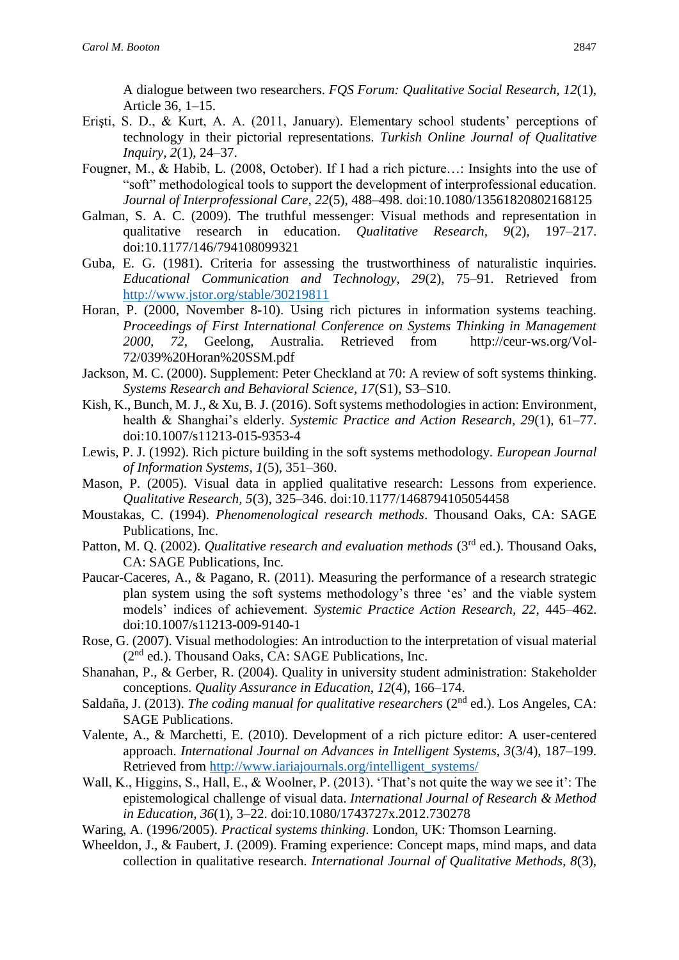A dialogue between two researchers. *FQS Forum: Qualitative Social Research, 12*(1), Article 36, 1–15.

- Erişti, S. D., & Kurt, A. A. (2011, January). Elementary school students' perceptions of technology in their pictorial representations. *Turkish Online Journal of Qualitative Inquiry, 2*(1), 24–37.
- Fougner, M., & Habib, L. (2008, October). If I had a rich picture…: Insights into the use of "soft" methodological tools to support the development of interprofessional education. *Journal of Interprofessional Care, 22*(5), 488–498. doi:10.1080/13561820802168125
- Galman, S. A. C. (2009). The truthful messenger: Visual methods and representation in qualitative research in education. *Qualitative Research, 9*(2), 197–217. doi:10.1177/146/794108099321
- Guba, E. G. (1981). Criteria for assessing the trustworthiness of naturalistic inquiries. *Educational Communication and Technology, 29*(2), 75–91. Retrieved from <http://www.jstor.org/stable/30219811>
- Horan, P. (2000, November 8-10). Using rich pictures in information systems teaching. *Proceedings of First International Conference on Systems Thinking in Management 2000, 72,* Geelong, Australia. Retrieved from http://ceur-ws.org/Vol-72/039%20Horan%20SSM.pdf
- Jackson, M. C. (2000). Supplement: Peter Checkland at 70: A review of soft systems thinking. *Systems Research and Behavioral Science, 17*(S1), S3–S10.
- Kish, K., Bunch, M. J., & Xu, B. J. (2016). Soft systems methodologies in action: Environment, health & Shanghai's elderly. *Systemic Practice and Action Research, 29*(1), 61–77. doi:10.1007/s11213-015-9353-4
- Lewis, P. J. (1992). Rich picture building in the soft systems methodology. *European Journal of Information Systems, 1*(5), 351–360.
- Mason, P. (2005). Visual data in applied qualitative research: Lessons from experience. *Qualitative Research, 5*(3), 325–346. doi:10.1177/1468794105054458
- Moustakas, C. (1994). *Phenomenological research methods*. Thousand Oaks, CA: SAGE Publications, Inc.
- Patton, M. O. (2002). *Qualitative research and evaluation methods* (3<sup>rd</sup> ed.). Thousand Oaks, CA: SAGE Publications, Inc.
- Paucar-Caceres, A., & Pagano, R. (2011). Measuring the performance of a research strategic plan system using the soft systems methodology's three 'es' and the viable system models' indices of achievement. *Systemic Practice Action Research, 22*, 445–462. doi:10.1007/s11213-009-9140-1
- Rose, G. (2007). Visual methodologies: An introduction to the interpretation of visual material  $(2<sup>nd</sup>$  ed.). Thousand Oaks, CA: SAGE Publications, Inc.
- Shanahan, P., & Gerber, R. (2004). Quality in university student administration: Stakeholder conceptions. *Quality Assurance in Education, 12*(4), 166–174.
- Saldaña, J. (2013). *The coding manual for qualitative researchers* (2<sup>nd</sup> ed.). Los Angeles, CA: SAGE Publications.
- Valente, A., & Marchetti, E. (2010). Development of a rich picture editor: A user-centered approach. *International Journal on Advances in Intelligent Systems, 3*(3/4), 187–199. Retrieved from [http://www.iariajournals.org/intelligent\\_systems/](http://www.iariajournals.org/intelligent_systems/)
- Wall, K., Higgins, S., Hall, E., & Woolner, P. (2013). 'That's not quite the way we see it': The epistemological challenge of visual data. *International Journal of Research & Method in Education, 36*(1), 3–22. doi:10.1080/1743727x.2012.730278

Waring, A. (1996/2005). *Practical systems thinking*. London, UK: Thomson Learning.

Wheeldon, J., & Faubert, J. (2009). Framing experience: Concept maps, mind maps, and data collection in qualitative research. *International Journal of Qualitative Methods, 8*(3),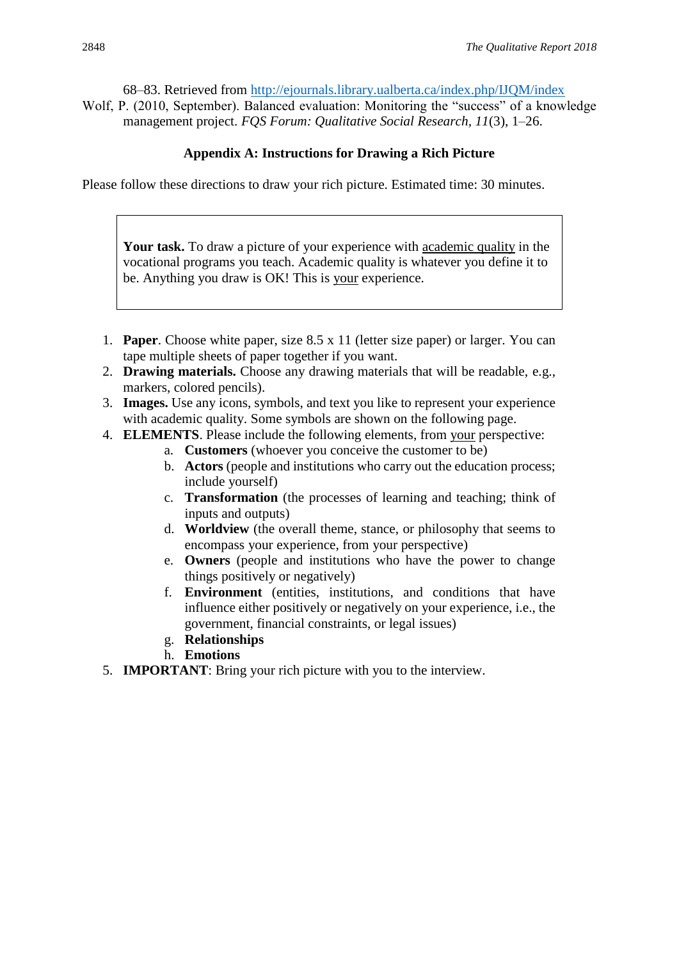68–83. Retrieved from<http://ejournals.library.ualberta.ca/index.php/IJQM/index>

Wolf, P. (2010, September). Balanced evaluation: Monitoring the "success" of a knowledge management project. *FQS Forum: Qualitative Social Research, 11*(3), 1–26.

# **Appendix A: Instructions for Drawing a Rich Picture**

Please follow these directions to draw your rich picture. Estimated time: 30 minutes.

**Your task.** To draw a picture of your experience with academic quality in the vocational programs you teach. Academic quality is whatever you define it to be. Anything you draw is OK! This is your experience.

- 1. **Paper**. Choose white paper, size 8.5 x 11 (letter size paper) or larger. You can tape multiple sheets of paper together if you want.
- 2. **Drawing materials.** Choose any drawing materials that will be readable, e.g., markers, colored pencils).
- 3. **Images.** Use any icons, symbols, and text you like to represent your experience with academic quality. Some symbols are shown on the following page.
- 4. **ELEMENTS**. Please include the following elements, from your perspective:
	- a. **Customers** (whoever you conceive the customer to be)
		- b. **Actors** (people and institutions who carry out the education process; include yourself)
		- c. **Transformation** (the processes of learning and teaching; think of inputs and outputs)
		- d. **Worldview** (the overall theme, stance, or philosophy that seems to encompass your experience, from your perspective)
		- e. **Owners** (people and institutions who have the power to change things positively or negatively)
		- f. **Environment** (entities, institutions, and conditions that have influence either positively or negatively on your experience, i.e., the government, financial constraints, or legal issues)
	- g. **Relationships**
	- h. **Emotions**
- 5. **IMPORTANT**: Bring your rich picture with you to the interview.